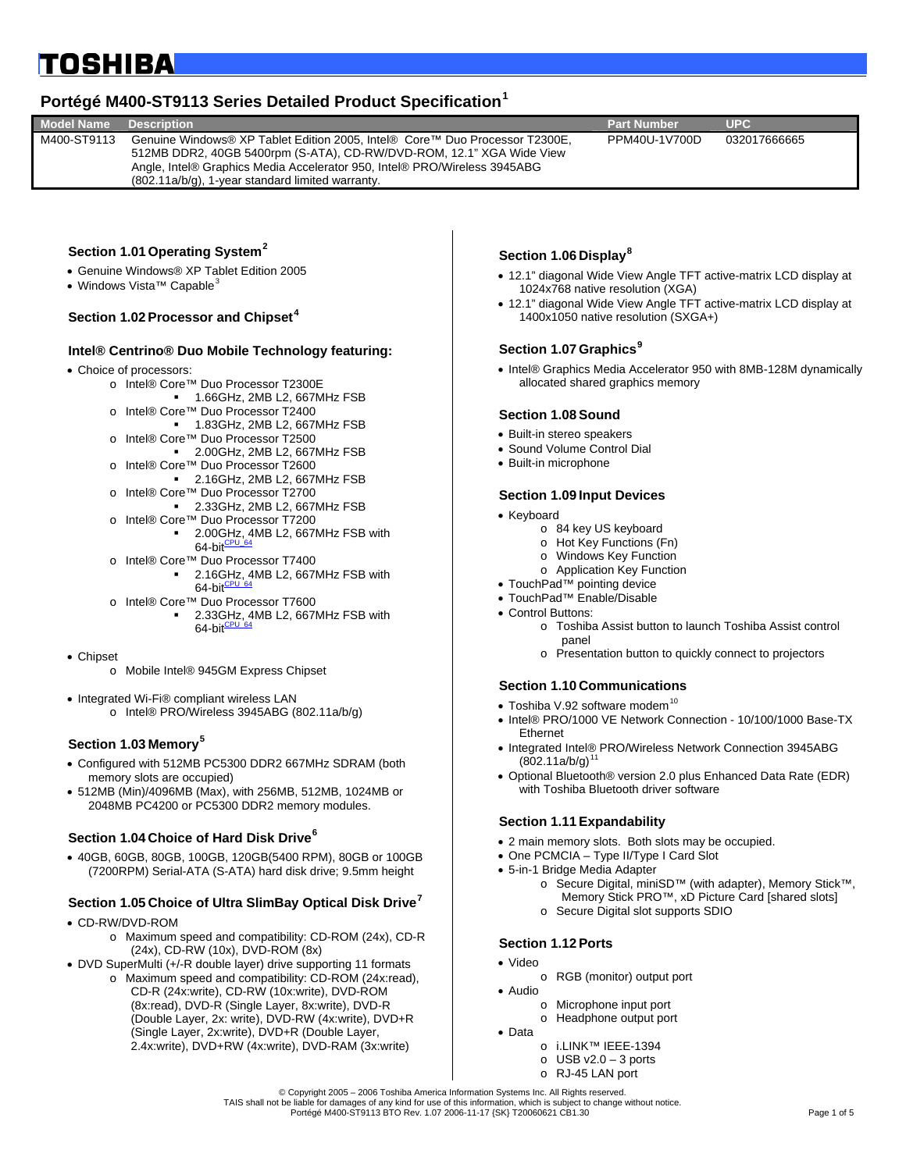## <span id="page-0-0"></span>**TOSHIBA**

## **Portégé M400-ST9113 Series Detailed Product Specification[1](#page-4-0)**

| <b>Model Name</b> | <b>Description</b>                                                                                                                                                                                                                                                                   | <b>Part Number</b> | UPC.         |  |
|-------------------|--------------------------------------------------------------------------------------------------------------------------------------------------------------------------------------------------------------------------------------------------------------------------------------|--------------------|--------------|--|
| M400-ST9113       | Genuine Windows® XP Tablet Edition 2005, Intel® Core™ Duo Processor T2300E,<br>512MB DDR2, 40GB 5400rpm (S-ATA), CD-RW/DVD-ROM, 12.1" XGA Wide View<br>Angle, Intel® Graphics Media Accelerator 950, Intel® PRO/Wireless 3945ABG<br>(802.11a/b/g), 1-year standard limited warranty. | PPM40U-1V700D      | 032017666665 |  |
|                   |                                                                                                                                                                                                                                                                                      |                    |              |  |

#### **Section 1.01 Operating System[2](#page-4-1)**

- Genuine Windows® XP Tablet Edition 2005
- Windows Vista<sup>™</sup> Capable<sup>[3](#page-4-1)</sup>

#### **Section 1.02 Processor and Chipset[4](#page-4-1)**

#### **Intel® Centrino® Duo Mobile Technology featuring:**

- Choice of processors:
	- o Intel® Core™ Duo Processor T2300E
		- 1.66GHz, 2MB L2, 667MHz FSB
	- o Intel® Core™ Duo Processor T2400 1.83GHz, 2MB L2, 667MHz FSB
	- o Intel® Core™ Duo Processor T2500
	- 2.00GHz, 2MB L2, 667MHz FSB
	- o Intel® Core™ Duo Processor T2600 2.16GHz, 2MB L2, 667MHz FSB
	- o Intel® Core™ Duo Processor T2700
	- 2.33GHz, 2MB L2, 667MHz FSB o Intel® Core™ Duo Processor T7200
	- 2.00GHz, 4MB L2, 667MHz FSB with 64-bit $\frac{CP}{C}$
	- o Intel® Core™ Duo Processor T7400
		- 2.16GHz, 4MB L2, 667MHz FSB with  $64$ -bit
	- o Intel® Core™ Duo Processor T7600
		- 2.33GHz, 4MB L2, 667MHz FSB with 64-bit $\frac{CPU}{C}$
- Chipset
	- o Mobile Intel® 945GM Express Chipset
- Integrated Wi-Fi® compliant wireless LAN
	- o Intel® PRO/Wireless 3945ABG (802.11a/b/g)

#### **Section 1.03 Memory[5](#page-4-1)**

- Configured with 512MB PC5300 DDR2 667MHz SDRAM (both memory slots are occupied)
- 512MB (Min)/4096MB (Max), with 256MB, 512MB, 1024MB or 2048MB PC4200 or PC5300 DDR2 memory modules.

#### **Section 1.04 Choice of Hard Disk Drive[6](#page-4-1)**

• 40GB, 60GB, 80GB, 100GB, 120GB(5400 RPM), 80GB or 100GB (7200RPM) Serial-ATA (S-ATA) hard disk drive; 9.5mm height

#### **Section 1.05 Choice of Ultra SlimBay Optical Disk Drive[7](#page-4-1)**

- CD-RW/DVD-ROM
	- o Maximum speed and compatibility: CD-ROM (24x), CD-R (24x), CD-RW (10x), DVD-ROM (8x)
- DVD SuperMulti (+/-R double layer) drive supporting 11 formats
	- o Maximum speed and compatibility: CD-ROM (24x:read), CD-R (24x:write), CD-RW (10x:write), DVD-ROM (8x:read), DVD-R (Single Layer, 8x:write), DVD-R (Double Layer, 2x: write), DVD-RW (4x:write), DVD+R (Single Layer, 2x:write), DVD+R (Double Layer, 2.4x:write), DVD+RW (4x:write), DVD-RAM (3x:write)

#### **Section 1.06 Display[8](#page-4-1)**

- 12.1" diagonal Wide View Angle TFT active-matrix LCD display at 1024x768 native resolution (XGA)
- 12.1" diagonal Wide View Angle TFT active-matrix LCD display at 1400x1050 native resolution (SXGA+)

#### **Section 1.07 Graphics[9](#page-4-1)**

• Intel® Graphics Media Accelerator 950 with 8MB-128M dynamically allocated shared graphics memory

#### **Section 1.08 Sound**

- Built-in stereo speakers
- Sound Volume Control Dial
- Built-in microphone

#### **Section 1.09 Input Devices**

- Keyboard
	- o 84 key US keyboard
	- o Hot Key Functions (Fn)
	- o Windows Key Function
	- o Application Key Function
- TouchPad™ pointing device
- TouchPad™ Enable/Disable
- Control Buttons:
	- o Toshiba Assist button to launch Toshiba Assist control panel
	- o Presentation button to quickly connect to projectors

#### **Section 1.10 Communications**

- Toshiba V.92 software modem<sup>[10](#page-4-1)</sup>
- Intel® PRO/1000 VE Network Connection 10/100/1000 Base-TX Ethernet
- Integrated Intel® PRO/Wireless Network Connection 3945ABG  $(802.11a/b/q)^{11}$  $(802.11a/b/q)^{11}$  $(802.11a/b/q)^{11}$
- Optional Bluetooth® version 2.0 plus Enhanced Data Rate (EDR) with Toshiba Bluetooth driver software

#### **Section 1.11 Expandability**

- 2 main memory slots. Both slots may be occupied.
- One PCMCIA Type II/Type I Card Slot
- 5-in-1 Bridge Media Adapter
	- o Secure Digital, miniSD™ (with adapter), Memory Stick™, Memory Stick PRO™, xD Picture Card [shared slots]
	- o Secure Digital slot supports SDIO

#### **Section 1.12 Ports**

- Video
	- o RGB (monitor) output port
- Audio
	- o Microphone input port
	- o Headphone output port
- Data
	- o i.LINK™ IEEE-1394
	- $\circ$  USB v2.0 3 ports
	- o RJ-45 LAN port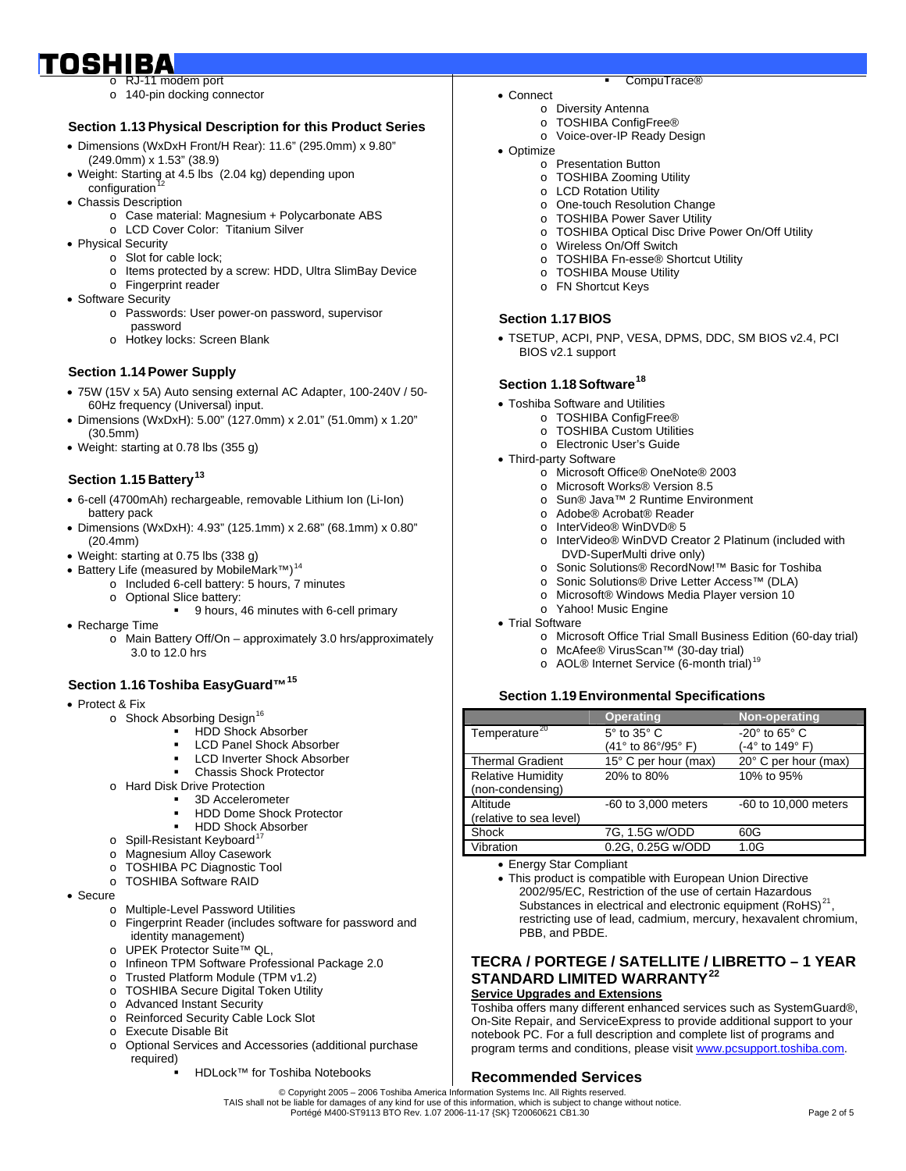## o RJ-11 modem port

- 
- o 140-pin docking connector

#### **Section 1.13 Physical Description for this Product Series**

- Dimensions (WxDxH Front/H Rear): 11.6" (295.0mm) x 9.80" (249.0mm) x 1.53" (38.9)
- Weight: Starting at 4.5 lbs (2.04 kg) depending upon configuration
- Chassis Description
	- o Case material: Magnesium + Polycarbonate ABS
	- o LCD Cover Color: Titanium Silver
- Physical Security
	- o Slot for cable lock;
	- o Items protected by a screw: HDD, Ultra SlimBay Device
	- o Fingerprint reader
- Software Security
	- o Passwords: User power-on password, supervisor password
		- o Hotkey locks: Screen Blank

#### **Section 1.14 Power Supply**

- 75W (15V x 5A) Auto sensing external AC Adapter, 100-240V / 50- 60Hz frequency (Universal) input.
- Dimensions (WxDxH): 5.00" (127.0mm) x 2.01" (51.0mm) x 1.20" (30.5mm)
- Weight: starting at 0.78 lbs (355 g)

#### **Section 1.15 Battery<sup>[13](#page-4-1)</sup>**

- 6-cell (4700mAh) rechargeable, removable Lithium Ion (Li-Ion) battery pack
- Dimensions (WxDxH): 4.93" (125.1mm) x 2.68" (68.1mm) x 0.80" (20.4mm)
- Weight: starting at 0.75 lbs (338 g)
- Battery Life (measured by MobileMark™)<sup>[14](#page-4-1)</sup>
	- o Included 6-cell battery: 5 hours, 7 minutes
		- o Optional Slice battery:
			- 9 hours, 46 minutes with 6-cell primary
- Recharge Time
	- o Main Battery Off/On approximately 3.0 hrs/approximately 3.0 to 12.0 hrs

#### **Section 1.16 Toshiba EasyGuard™[15](#page-4-1)**

- Protect & Fix
	- o Shock Absorbing Design<sup>[16](#page-4-1)</sup>
		- HDD Shock Absorber
		- LCD Panel Shock Absorber
		- LCD Inverter Shock Absorber
		- Chassis Shock Protector
	- o Hard Disk Drive Protection
		- 3D Accelerometer
			- HDD Dome Shock Protector
		- **HDD Shock Absorber**
	- $\circ$  Spill-Resistant Keyboard<sup>[17](#page-4-1)</sup>
	- o Magnesium Alloy Casework
	- o TOSHIBA PC Diagnostic Tool
	- o TOSHIBA Software RAID
- Secure
	- o Multiple-Level Password Utilities
	- o Fingerprint Reader (includes software for password and identity management)
	- o UPEK Protector Suite<sup>+M</sup> QL.
	- o Infineon TPM Software Professional Package 2.0
	- o Trusted Platform Module (TPM v1.2)
	- o TOSHIBA Secure Digital Token Utility
	- o Advanced Instant Security
	- o Reinforced Security Cable Lock Slot
	- o Execute Disable Bit
	- o Optional Services and Accessories (additional purchase required)
		- HDLock™ for Toshiba Notebooks
- CompuTrace®
- Connect o Diversity Antenna
	- o TOSHIBA ConfigFree®
	- o Voice-over-IP Ready Design
- Optimize
	- o Presentation Button
	- o TOSHIBA Zooming Utility
	- o LCD Rotation Utility
	- o One-touch Resolution Change
	- o TOSHIBA Power Saver Utility
	- o TOSHIBA Optical Disc Drive Power On/Off Utility
	- o Wireless On/Off Switch
	- o TOSHIBA Fn-esse® Shortcut Utility
	- o TOSHIBA Mouse Utility
	- o FN Shortcut Keys

#### **Section 1.17 BIOS**

• TSETUP, ACPI, PNP, VESA, DPMS, DDC, SM BIOS v2.4, PCI BIOS v2.1 support

#### **Section 1.18 Software[18](#page-4-1)**

- Toshiba Software and Utilities
	- o TOSHIBA ConfigFree®
	- o TOSHIBA Custom Utilities
	- o Electronic User's Guide
- Third-party Software
	- o Microsoft Office® OneNote® 2003
	- o Microsoft Works® Version 8.5
	- o Sun® Java™ 2 Runtime Environment
	- o Adobe® Acrobat® Reader
	- o InterVideo® WinDVD® 5
	- o InterVideo® WinDVD Creator 2 Platinum (included with DVD-SuperMulti drive only)
	- o Sonic Solutions® RecordNow!™ Basic for Toshiba
	- o Sonic Solutions® Drive Letter Access™ (DLA)
	- o Microsoft® Windows Media Player version 10
- o Yahoo! Music Engine • Trial Software
	- o Microsoft Office Trial Small Business Edition (60-day trial)
	- o McAfee® VirusScan™ (30-day trial)
	- o AOL® Internet Service (6-month trial)<sup>[19](#page-4-1)</sup>
	-

#### **Section 1.19 Environmental Specifications**

|                           | <b>Operating</b>          | Non-operating                |
|---------------------------|---------------------------|------------------------------|
| Temperature <sup>20</sup> | $5^\circ$ to $35^\circ$ C | $-20^\circ$ to 65 $^\circ$ C |
|                           | (41° to 86°/95° F)        | (-4° to 149° F)              |
| <b>Thermal Gradient</b>   | 15° C per hour (max)      | 20° C per hour (max)         |
| <b>Relative Humidity</b>  | 20% to 80%                | 10% to 95%                   |
| (non-condensing)          |                           |                              |
| Altitude                  | -60 to 3,000 meters       | -60 to 10,000 meters         |
| (relative to sea level)   |                           |                              |
| Shock                     | 7G, 1.5G w/ODD            | 60G                          |
| Vibration                 | 0.2G, 0.25G w/ODD         | 1.0G                         |

- Energy Star Compliant
- This product is compatible with European Union Directive 2002/95/EC, Restriction of the use of certain Hazardous Substances in electrical and electronic equipment (RoHS)<sup>[21](#page-4-1)</sup> restricting use of lead, cadmium, mercury, hexavalent chromium, PBB, and PBDE.

## **TECRA / PORTEGE / SATELLITE / LIBRETTO – 1 YEAR STANDARD LIMITED WARRANTY[22](#page-4-1)**

On-Site Repair, and ServiceExpress to provide additional support to your notebook PC. For a full description and complete list of programs and program terms and conditions, please visit [www.pcsupport.toshiba.com.](http://www.pcsupport.toshiba.com/)

#### **Service Upgrades and Extensions** Toshiba offers many different enhanced services such as SystemGuard®,

TAIS shall not be liable for damages of any kind for use of this information, which is subject to change without notice.<br>Portégé M400-ST9113 BTO Rev. 1.07 2006-11-17 {SK} T20060621 CB1.30 Page 2 of 5

**Recommended Services** 

© Copyright 2005 – 2006 Toshiba America Information Systems Inc. All Rights reserved.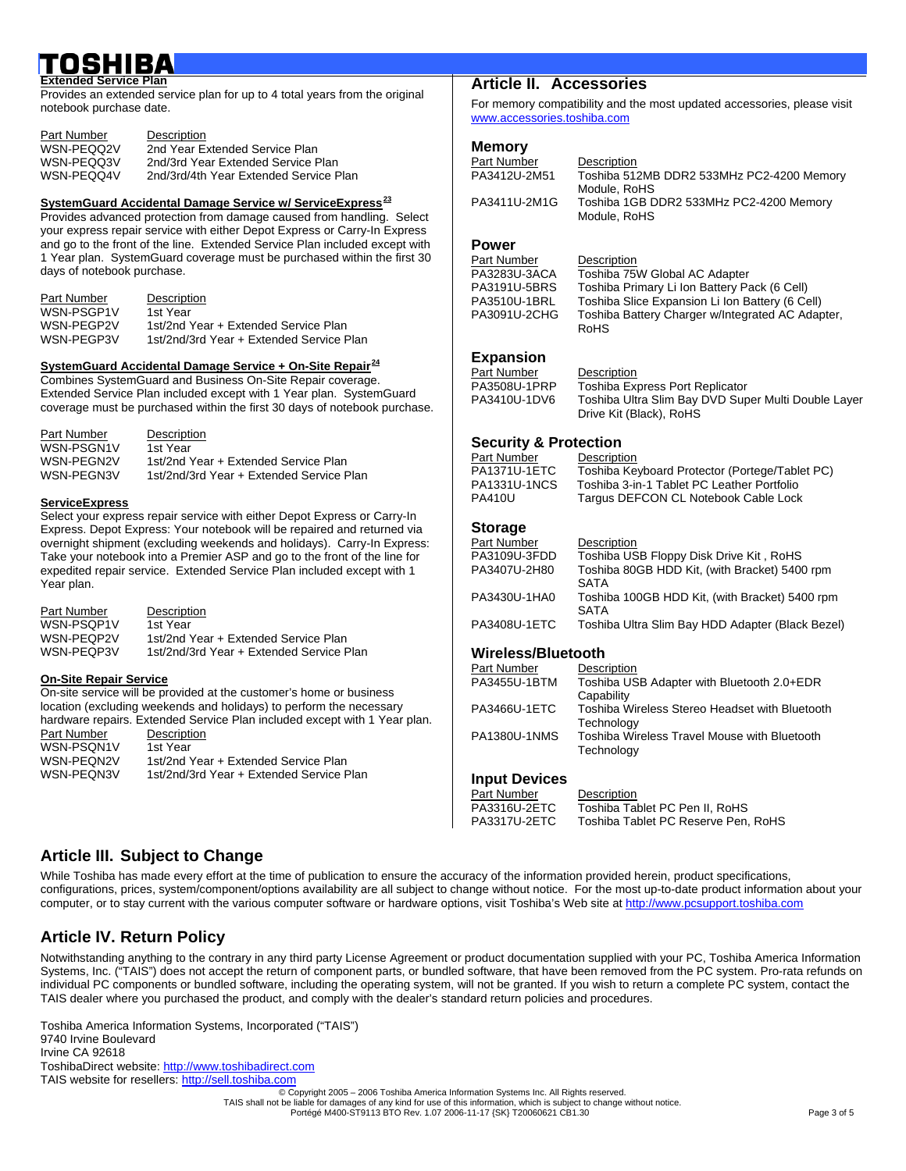#### IBA Į **Extended Service Plan**

Provides an extended service plan for up to 4 total years from the original notebook purchase date.

| Part Number | Description                            |
|-------------|----------------------------------------|
| WSN-PEQQ2V  | 2nd Year Extended Service Plan         |
| WSN-PEQQ3V  | 2nd/3rd Year Extended Service Plan     |
| WSN-PEQQ4V  | 2nd/3rd/4th Year Extended Service Plan |

#### **SystemGuard Accidental Damage Service w/ ServiceExpress[23](#page-4-1)**

Provides advanced protection from damage caused from handling. Select your express repair service with either Depot Express or Carry-In Express and go to the front of the line. Extended Service Plan included except with 1 Year plan. SystemGuard coverage must be purchased within the first 30 days of notebook purchase.

| Part Number | Description                              |
|-------------|------------------------------------------|
| WSN-PSGP1V  | 1st Year                                 |
| WSN-PEGP2V  | 1st/2nd Year + Extended Service Plan     |
| WSN-PEGP3V  | 1st/2nd/3rd Year + Extended Service Plan |

#### **SystemGuard Accidental Damage Service + On-Site Repair[24](#page-4-1)**

Combines SystemGuard and Business On-Site Repair coverage. Extended Service Plan included except with 1 Year plan. SystemGuard coverage must be purchased within the first 30 days of notebook purchase.

| Part Number | Description                              |
|-------------|------------------------------------------|
| WSN-PSGN1V  | 1st Year                                 |
| WSN-PEGN2V  | 1st/2nd Year + Extended Service Plan     |
| WSN-PEGN3V  | 1st/2nd/3rd Year + Extended Service Plan |

#### **ServiceExpress**

Select your express repair service with either Depot Express or Carry-In Express. Depot Express: Your notebook will be repaired and returned via overnight shipment (excluding weekends and holidays). Carry-In Express: Take your notebook into a Premier ASP and go to the front of the line for expedited repair service. Extended Service Plan included except with 1 Year plan.

| Part Number | Description                              |
|-------------|------------------------------------------|
| WSN-PSOP1V  | 1st Year                                 |
| WSN-PEOP2V  | 1st/2nd Year + Extended Service Plan     |
| WSN-PEOP3V  | 1st/2nd/3rd Year + Extended Service Plan |

#### **On-Site Repair Service**

On-site service will be provided at the customer's home or business location (excluding weekends and holidays) to perform the necessary hardware repairs. Extended Service Plan included except with 1 Year plan.

| <u>Hardward Topalis. Exterious Ochvice Fight Included Cxcept With T</u> |                                          |  |
|-------------------------------------------------------------------------|------------------------------------------|--|
| Part Number                                                             | Description                              |  |
| WSN-PSON1V                                                              | 1st Year                                 |  |
| WSN-PEON2V                                                              | 1st/2nd Year + Extended Service Plan     |  |
| WSN-PEON3V                                                              | 1st/2nd/3rd Year + Extended Service Plan |  |
|                                                                         |                                          |  |

### **Article II. Accessories**

For memory compatibility and the most updated accessories, please visit [www.accessories.toshiba.com](http://www.accessories.toshiba.com/)

## **Memory**

| Part Number  | Description                                             |
|--------------|---------------------------------------------------------|
| PA3412U-2M51 | Toshiba 512MB DDR2 533MHz PC2-4200 Memory               |
|              | Module, RoHS                                            |
| PA3411U-2M1G | Toshiba 1GB DDR2 533MHz PC2-4200 Memory<br>Module, RoHS |
|              |                                                         |

## **Power**

| Part Number  | Description                                      |
|--------------|--------------------------------------------------|
| PA3283U-3ACA | Toshiba 75W Global AC Adapter                    |
| PA3191U-5BRS | Toshiba Primary Li Ion Battery Pack (6 Cell)     |
| PA3510U-1BRL | Toshiba Slice Expansion Li Ion Battery (6 Cell)  |
| PA3091U-2CHG | Toshiba Battery Charger w/Integrated AC Adapter, |
|              | <b>RoHS</b>                                      |

#### **Expansion**

| Part Number  | Description                                         |
|--------------|-----------------------------------------------------|
| PA3508U-1PRP | <b>Toshiba Express Port Replicator</b>              |
| PA3410U-1DV6 | Toshiba Ultra Slim Bay DVD Super Multi Double Layer |
|              | Drive Kit (Black), RoHS                             |

#### **Security & Protection**

| Part Number  | Description                                    |
|--------------|------------------------------------------------|
| PA1371U-1ETC | Toshiba Keyboard Protector (Portege/Tablet PC) |
| PA1331U-1NCS | Toshiba 3-in-1 Tablet PC Leather Portfolio     |
| PA410U       | Targus DEFCON CL Notebook Cable Lock           |
|              |                                                |

#### **Storage**

| Part Number  | Description                                                   |
|--------------|---------------------------------------------------------------|
| PA3109U-3FDD | Toshiba USB Floppy Disk Drive Kit, RoHS                       |
| PA3407U-2H80 | Toshiba 80GB HDD Kit, (with Bracket) 5400 rpm<br><b>SATA</b>  |
| PA3430U-1HA0 | Toshiba 100GB HDD Kit, (with Bracket) 5400 rpm<br><b>SATA</b> |
| PA3408U-1ETC | Toshiba Ultra Slim Bay HDD Adapter (Black Bezel)              |

#### **Wireless/Bluetooth**

| Part Number  | Description                                                  |
|--------------|--------------------------------------------------------------|
| PA3455U-1BTM | Toshiba USB Adapter with Bluetooth 2.0+EDR                   |
|              | Capability                                                   |
| PA3466U-1ETC | Toshiba Wireless Stereo Headset with Bluetooth<br>Technology |
| PA1380U-1NMS | Toshiba Wireless Travel Mouse with Bluetooth<br>Technology   |

#### **Input Devices**

| Part Number  | Description                         |
|--------------|-------------------------------------|
| PA3316U-2ETC | Toshiba Tablet PC Pen II. RoHS      |
| PA3317U-2ETC | Toshiba Tablet PC Reserve Pen, RoHS |

### **Article III. Subject to Change**

While Toshiba has made every effort at the time of publication to ensure the accuracy of the information provided herein, product specifications, configurations, prices, system/component/options availability are all subject to change without notice. For the most up-to-date product information about your computer, or to stay current with the various computer software or hardware options, visit Toshiba's Web site at [http://www.pcsupport.toshiba.com](http://www.pcsupport.toshiba.com/)

### **Article IV. Return Policy**

Notwithstanding anything to the contrary in any third party License Agreement or product documentation supplied with your PC, Toshiba America Information Systems, Inc. ("TAIS") does not accept the return of component parts, or bundled software, that have been removed from the PC system. Pro-rata refunds on individual PC components or bundled software, including the operating system, will not be granted. If you wish to return a complete PC system, contact the TAIS dealer where you purchased the product, and comply with the dealer's standard return policies and procedures.

Toshiba America Information Systems, Incorporated ("TAIS") 9740 Irvine Boulevard Irvine CA 92618 ToshibaDirect website: [http://www.toshibadirect.com](http://www.toshibadirect.com/)  TAIS website for resellers: [http://sell.toshiba.com](http://sell.toshiba.com/)

© Copyright 2005 – 2006 Toshiba America Information Systems Inc. All Rights reserved. TAIS shall not be liable for damages of any kind for use of this information, which is subject to change without notice.

Portégé M400-ST9113 BTO Rev. 1.07 2006-11-17 {SK} T20060621 CB1.30 Page 3 of 5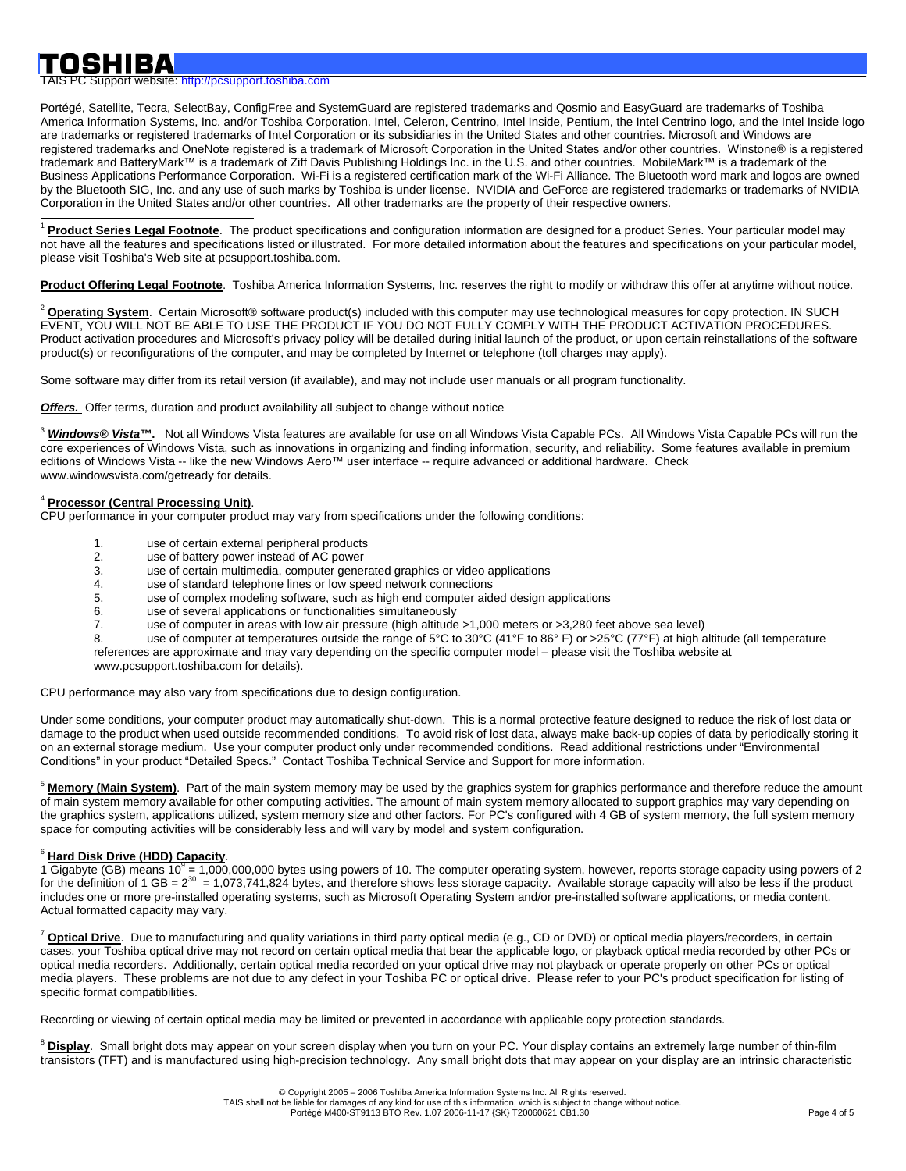TAIS PC Support website: [http://pcsupport.toshiba.com](http://pcsupport.toshiba.com/)

Portégé, Satellite, Tecra, SelectBay, ConfigFree and SystemGuard are registered trademarks and Qosmio and EasyGuard are trademarks of Toshiba America Information Systems, Inc. and/or Toshiba Corporation. Intel, Celeron, Centrino, Intel Inside, Pentium, the Intel Centrino logo, and the Intel Inside logo are trademarks or registered trademarks of Intel Corporation or its subsidiaries in the United States and other countries. Microsoft and Windows are registered trademarks and OneNote registered is a trademark of Microsoft Corporation in the United States and/or other countries. Winstone® is a registered trademark and BatteryMark™ is a trademark of Ziff Davis Publishing Holdings Inc. in the U.S. and other countries. MobileMark™ is a trademark of the Business Applications Performance Corporation. Wi-Fi is a registered certification mark of the Wi-Fi Alliance. The Bluetooth word mark and logos are owned by the Bluetooth SIG, Inc. and any use of such marks by Toshiba is under license. NVIDIA and GeForce are registered trademarks or trademarks of NVIDIA Corporation in the United States and/or other countries. All other trademarks are the property of their respective owners.

 $\overline{a}$ <sup>1</sup> **Product Series Legal Footnote**. The product specifications and configuration information are designed for a product Series. Your particular model may not have all the features and specifications listed or illustrated. For more detailed information about the features and specifications on your particular model, please visit Toshiba's Web site at pcsupport.toshiba.com.

**Product Offering Legal Footnote**. Toshiba America Information Systems, Inc. reserves the right to modify or withdraw this offer at anytime without notice.

<sup>2</sup> Operating System. Certain Microsoft® software product(s) included with this computer may use technological measures for copy protection. IN SUCH EVENT, YOU WILL NOT BE ABLE TO USE THE PRODUCT IF YOU DO NOT FULLY COMPLY WITH THE PRODUCT ACTIVATION PROCEDURES. Product activation procedures and Microsoft's privacy policy will be detailed during initial launch of the product, or upon certain reinstallations of the software product(s) or reconfigurations of the computer, and may be completed by Internet or telephone (toll charges may apply).

Some software may differ from its retail version (if available), and may not include user manuals or all program functionality.

**Offers.** Offer terms, duration and product availability all subject to change without notice

<sup>3</sup> *Windows® Vista™***.** Not all Windows Vista features are available for use on all Windows Vista Capable PCs. All Windows Vista Capable PCs will run the core experiences of Windows Vista, such as innovations in organizing and finding information, security, and reliability. Some features available in premium editions of Windows Vista -- like the new Windows Aero™ user interface -- require advanced or additional hardware. Check www.windowsvista.com/getready for details.

#### <sup>4</sup> **Processor (Central Processing Unit)**.

CPU performance in your computer product may vary from specifications under the following conditions:

- 1. use of certain external peripheral products
- 2. use of battery power instead of AC power<br>3. use of certain multimedia, computer gener
- use of certain multimedia, computer generated graphics or video applications
- 4. use of standard telephone lines or low speed network connections
- 5. use of complex modeling software, such as high end computer aided design applications
- 6. use of several applications or functionalities simultaneously
	- use of computer in areas with low air pressure (high altitude >1,000 meters or >3,280 feet above sea level)

8. use of computer at temperatures outside the range of 5°C to 30°C (41°F to 86°F) or >25°C (77°F) at high altitude (all temperature references are approximate and may vary depending on the specific computer model – please visit the Toshiba website at www.pcsupport.toshiba.com for details).

CPU performance may also vary from specifications due to design configuration.

Under some conditions, your computer product may automatically shut-down. This is a normal protective feature designed to reduce the risk of lost data or damage to the product when used outside recommended conditions. To avoid risk of lost data, always make back-up copies of data by periodically storing it on an external storage medium. Use your computer product only under recommended conditions. Read additional restrictions under "Environmental Conditions" in your product "Detailed Specs." Contact Toshiba Technical Service and Support for more information.

<sup>5</sup> Memory (Main System). Part of the main system memory may be used by the graphics system for graphics performance and therefore reduce the amount of main system memory available for other computing activities. The amount of main system memory allocated to support graphics may vary depending on the graphics system, applications utilized, system memory size and other factors. For PC's configured with 4 GB of system memory, the full system memory space for computing activities will be considerably less and will vary by model and system configuration.

## <sup>6</sup> **Hard Disk Drive (HDD) Capacity**.

1 Gigabyte (GB) means 10<sup>9</sup> = 1,000,000,000 bytes using powers of 10. The computer operating system, however, reports storage capacity using powers of 2<br>for the definition of 1 GB = 2<sup>30</sup> = 1,073,741,824 bytes, and therefo includes one or more pre-installed operating systems, such as Microsoft Operating System and/or pre-installed software applications, or media content. Actual formatted capacity may vary.

<sup>7</sup> **Optical Drive**. Due to manufacturing and quality variations in third party optical media (e.g., CD or DVD) or optical media players/recorders, in certain cases, your Toshiba optical drive may not record on certain optical media that bear the applicable logo, or playback optical media recorded by other PCs or optical media recorders. Additionally, certain optical media recorded on your optical drive may not playback or operate properly on other PCs or optical media players. These problems are not due to any defect in your Toshiba PC or optical drive. Please refer to your PC's product specification for listing of specific format compatibilities.

Recording or viewing of certain optical media may be limited or prevented in accordance with applicable copy protection standards.

<sup>8</sup> Display. Small bright dots may appear on your screen display when you turn on your PC. Your display contains an extremely large number of thin-film transistors (TFT) and is manufactured using high-precision technology. Any small bright dots that may appear on your display are an intrinsic characteristic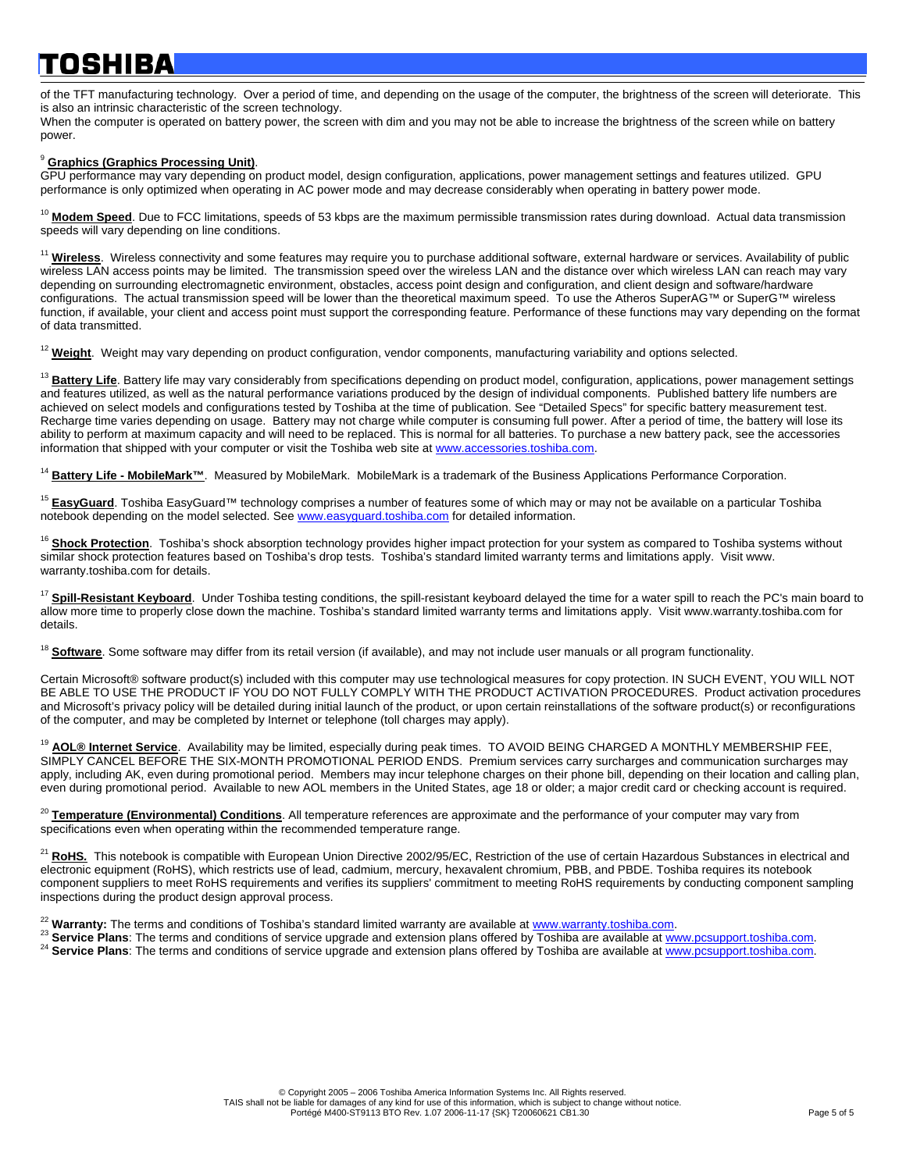## Į  $\overline{\phantom{a}}$

of the TFT manufacturing technology. Over a period of time, and depending on the usage of the computer, the brightness of the screen will deteriorate. This is also an intrinsic characteristic of the screen technology.

When the computer is operated on battery power, the screen with dim and you may not be able to increase the brightness of the screen while on battery power.

#### <sup>9</sup> **Graphics (Graphics Processing Unit)**.

GPU performance may vary depending on product model, design configuration, applications, power management settings and features utilized. GPU performance is only optimized when operating in AC power mode and may decrease considerably when operating in battery power mode.

<span id="page-4-0"></span><sup>10</sup> Modem Speed. Due to FCC limitations, speeds of 53 kbps are the maximum permissible transmission rates during download. Actual data transmission speeds will vary depending on line conditions.

<span id="page-4-1"></span><sup>11</sup> Wireless. Wireless connectivity and some features may require you to purchase additional software, external hardware or services. Availability of public wireless LAN access points may be limited. The transmission speed over the wireless LAN and the distance over which wireless LAN can reach may vary depending on surrounding electromagnetic environment, obstacles, access point design and configuration, and client design and software/hardware configurations. The actual transmission speed will be lower than the theoretical maximum speed. To use the Atheros SuperAG™ or SuperG™ wireless function, if available, your client and access point must support the corresponding feature. Performance of these functions may vary depending on the format of data transmitted.

<sup>12</sup> Weight. Weight may vary depending on product configuration, vendor components, manufacturing variability and options selected.

<sup>13</sup> Battery Life. Battery life may vary considerably from specifications depending on product model, configuration, applications, power management settings and features utilized, as well as the natural performance variations produced by the design of individual components. Published battery life numbers are achieved on select models and configurations tested by Toshiba at the time of publication. See "Detailed Specs" for specific battery measurement test. Recharge time varies depending on usage. Battery may not charge while computer is consuming full power. After a period of time, the battery will lose its ability to perform at maximum capacity and will need to be replaced. This is normal for all batteries. To purchase a new battery pack, see the accessories information that shipped with your computer or visit the Toshiba web site at [www.accessories.toshiba.com.](http://www.accessories.toshiba.com/)

<sup>14</sup> Battery Life - MobileMark™. Measured by MobileMark. MobileMark is a trademark of the Business Applications Performance Corporation.

<sup>15</sup> EasyGuard. Toshiba EasyGuard™ technology comprises a number of features some of which may or may not be available on a particular Toshiba notebook depending on the model selected. See [www.easyguard.toshiba.com](http://www.easyguard.toshiba.com/) for detailed information.

<sup>16</sup> Shock Protection. Toshiba's shock absorption technology provides higher impact protection for your system as compared to Toshiba systems without similar shock protection features based on Toshiba's drop tests. Toshiba's standard limited warranty terms and limitations apply. Visit www. warranty.toshiba.com for details.

<sup>17</sup> **Spill-Resistant Keyboard**. Under Toshiba testing conditions, the spill-resistant keyboard delayed the time for a water spill to reach the PC's main board to allow more time to properly close down the machine. Toshiba's standard limited warranty terms and limitations apply. Visit www.warranty.toshiba.com for details.

<sup>18</sup> Software. Some software may differ from its retail version (if available), and may not include user manuals or all program functionality.

Certain Microsoft® software product(s) included with this computer may use technological measures for copy protection. IN SUCH EVENT, YOU WILL NOT BE ABLE TO USE THE PRODUCT IF YOU DO NOT FULLY COMPLY WITH THE PRODUCT ACTIVATION PROCEDURES. Product activation procedures and Microsoft's privacy policy will be detailed during initial launch of the product, or upon certain reinstallations of the software product(s) or reconfigurations of the computer, and may be completed by Internet or telephone (toll charges may apply).

AOL<sup>®</sup> Internet Service. Availability may be limited, especially during peak times. TO AVOID BEING CHARGED A MONTHLY MEMBERSHIP FEE, SIMPLY CANCEL BEFORE THE SIX-MONTH PROMOTIONAL PERIOD ENDS. Premium services carry surcharges and communication surcharges may apply, including AK, even during promotional period. Members may incur telephone charges on their phone bill, depending on their location and calling plan, even during promotional period. Available to new AOL members in the United States, age 18 or older; a major credit card or checking account is required.

<sup>20</sup> Temperature (Environmental) Conditions. All temperature references are approximate and the performance of your computer may vary from specifications even when operating within the recommended temperature range.

<sup>21</sup> RoHS. This notebook is compatible with European Union Directive 2002/95/EC, Restriction of the use of certain Hazardous Substances in electrical and electronic equipment (RoHS), which restricts use of lead, cadmium, mercury, hexavalent chromium, PBB, and PBDE. Toshiba requires its notebook component suppliers to meet RoHS requirements and verifies its suppliers' commitment to meeting RoHS requirements by conducting component sampling inspections during the product design approval process.

- <sup>22</sup> Warranty: The terms and conditions of Toshiba's standard limited warranty are available at <u>www.warranty.toshiba.com</u>.<br><sup>23</sup> Service Plans: The terms and conditions of service upgrade and extension plans offered by Tos
-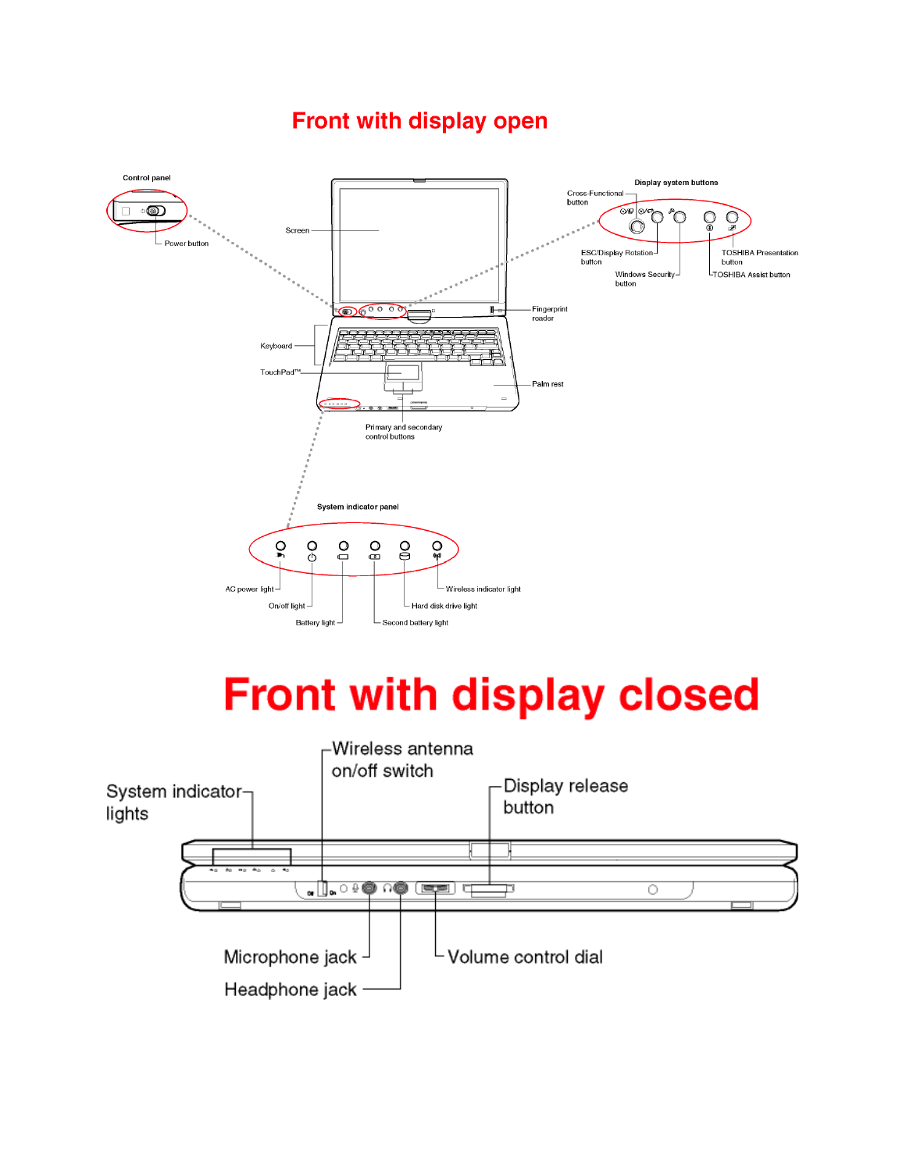#### Control panel Display system buttons Cross-Functional **button**  $O_{\infty}$  $\Box$  $\infty$ ∩ Screen Power button ESC/Display Rotation **TOSHIBA Presentation** button button LTOSHIBA Assist button Windows Securitybutton  $\odot$   $\odot$   $\odot$   $\odot$ -Fingerprint<br>reader Keyboard TouchPad Palm rest Primary and secondary control buttons System indicator panel  $\Omega$  $\overline{O}$  $\overline{O}$  $\mathbf{O}$  $\mathsf{S}$  $\Omega_{\rm sp}$ AC power light-Wireless indicator light Hard disk drive light On/off light Battery light-└ Second battery light

# **Front with display closed**



## Front with display open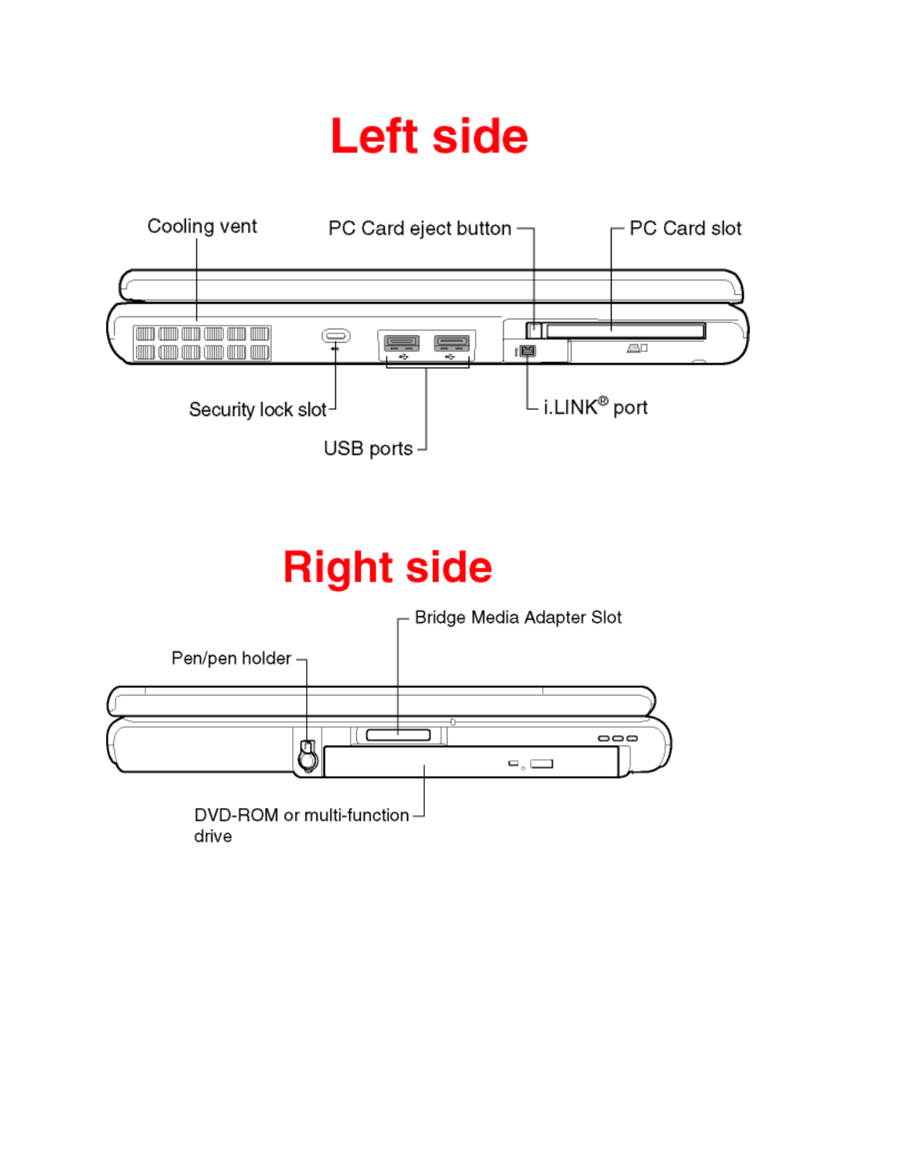# **Left side**



# **Right side**